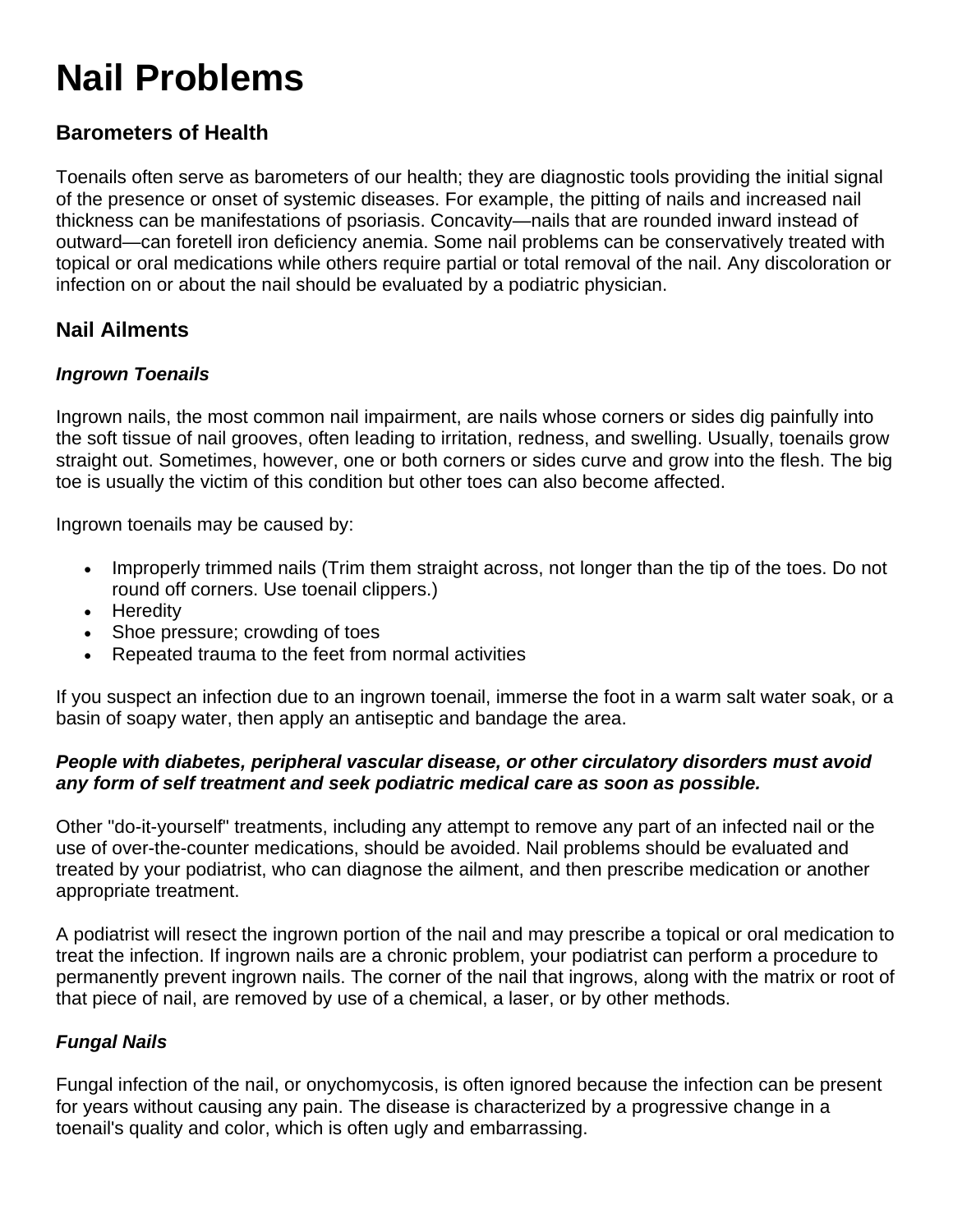# **Nail Problems**

# **Barometers of Health**

Toenails often serve as barometers of our health; they are diagnostic tools providing the initial signal of the presence or onset of systemic diseases. For example, the pitting of nails and increased nail thickness can be manifestations of psoriasis. Concavity—nails that are rounded inward instead of outward—can foretell iron deficiency anemia. Some nail problems can be conservatively treated with topical or oral medications while others require partial or total removal of the nail. Any discoloration or infection on or about the nail should be evaluated by a podiatric physician.

## **Nail Ailments**

## *Ingrown Toenails*

Ingrown nails, the most common nail impairment, are nails whose corners or sides dig painfully into the soft tissue of nail grooves, often leading to irritation, redness, and swelling. Usually, toenails grow straight out. Sometimes, however, one or both corners or sides curve and grow into the flesh. The big toe is usually the victim of this condition but other toes can also become affected.

Ingrown toenails may be caused by:

- Improperly trimmed nails (Trim them straight across, not longer than the tip of the toes. Do not round off corners. Use toenail clippers.)
- Heredity
- Shoe pressure; crowding of toes
- Repeated trauma to the feet from normal activities

If you suspect an infection due to an ingrown toenail, immerse the foot in a warm salt water soak, or a basin of soapy water, then apply an antiseptic and bandage the area.

#### *People with diabetes, peripheral vascular disease, or other circulatory disorders must avoid any form of self treatment and seek podiatric medical care as soon as possible.*

Other "do-it-yourself" treatments, including any attempt to remove any part of an infected nail or the use of over-the-counter medications, should be avoided. Nail problems should be evaluated and treated by your podiatrist, who can diagnose the ailment, and then prescribe medication or another appropriate treatment.

A podiatrist will resect the ingrown portion of the nail and may prescribe a topical or oral medication to treat the infection. If ingrown nails are a chronic problem, your podiatrist can perform a procedure to permanently prevent ingrown nails. The corner of the nail that ingrows, along with the matrix or root of that piece of nail, are removed by use of a chemical, a laser, or by other methods.

## *Fungal Nails*

Fungal infection of the nail, or onychomycosis, is often ignored because the infection can be present for years without causing any pain. The disease is characterized by a progressive change in a toenail's quality and color, which is often ugly and embarrassing.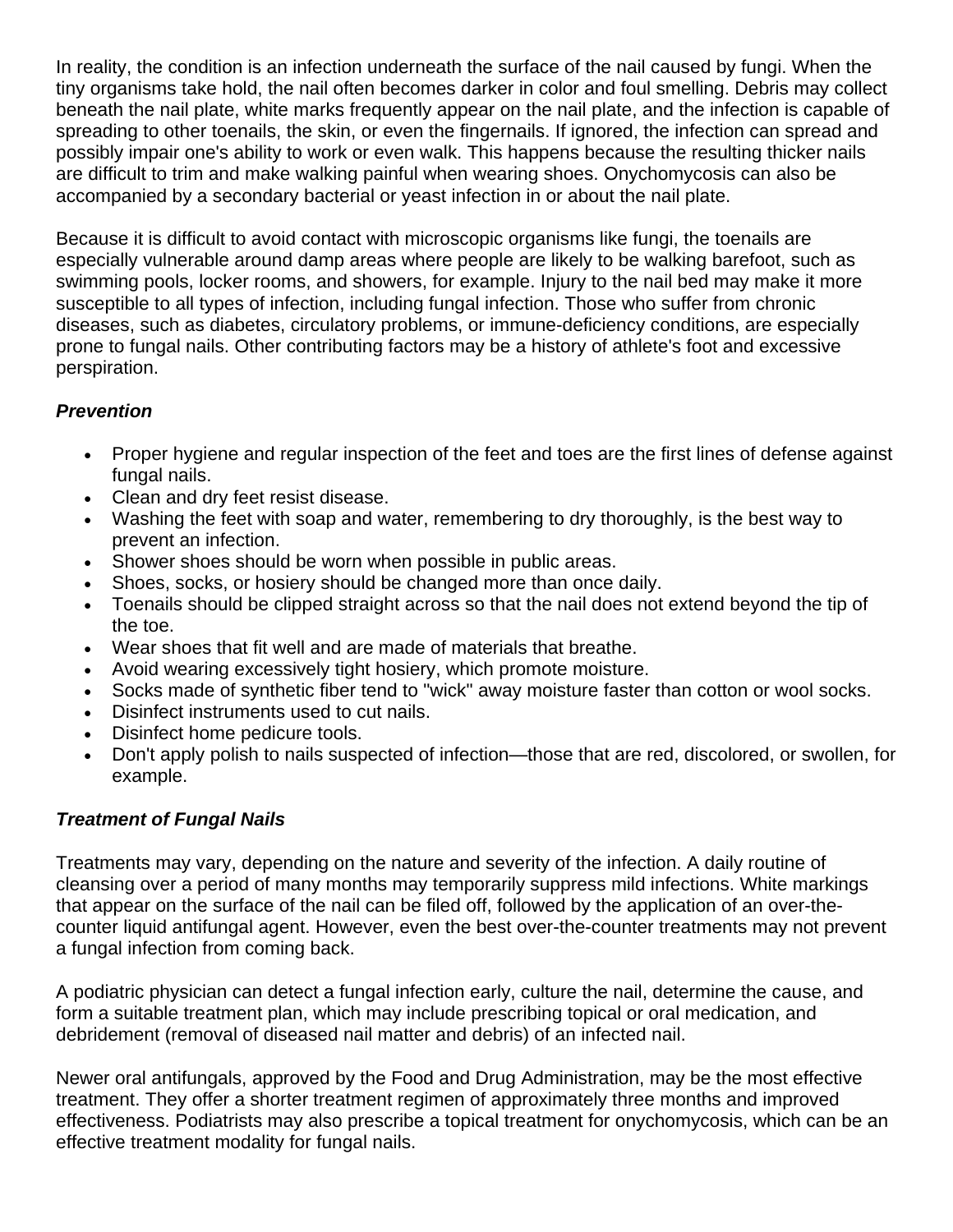In reality, the condition is an infection underneath the surface of the nail caused by fungi. When the tiny organisms take hold, the nail often becomes darker in color and foul smelling. Debris may collect beneath the nail plate, white marks frequently appear on the nail plate, and the infection is capable of spreading to other toenails, the skin, or even the fingernails. If ignored, the infection can spread and possibly impair one's ability to work or even walk. This happens because the resulting thicker nails are difficult to trim and make walking painful when wearing shoes. Onychomycosis can also be accompanied by a secondary bacterial or yeast infection in or about the nail plate.

Because it is difficult to avoid contact with microscopic organisms like fungi, the toenails are especially vulnerable around damp areas where people are likely to be walking barefoot, such as swimming pools, locker rooms, and showers, for example. Injury to the nail bed may make it more susceptible to all types of infection, including fungal infection. Those who suffer from chronic diseases, such as diabetes, circulatory problems, or immune-deficiency conditions, are especially prone to fungal nails. Other contributing factors may be a history of athlete's foot and excessive perspiration.

## *Prevention*

- Proper hygiene and regular inspection of the feet and toes are the first lines of defense against fungal nails.
- Clean and dry feet resist disease.
- Washing the feet with soap and water, remembering to dry thoroughly, is the best way to prevent an infection.
- Shower shoes should be worn when possible in public areas.
- Shoes, socks, or hosiery should be changed more than once daily.
- Toenails should be clipped straight across so that the nail does not extend beyond the tip of the toe.
- Wear shoes that fit well and are made of materials that breathe.
- Avoid wearing excessively tight hosiery, which promote moisture.
- Socks made of synthetic fiber tend to "wick" away moisture faster than cotton or wool socks.
- Disinfect instruments used to cut nails.
- Disinfect home pedicure tools.
- Don't apply polish to nails suspected of infection—those that are red, discolored, or swollen, for example.

## *Treatment of Fungal Nails*

Treatments may vary, depending on the nature and severity of the infection. A daily routine of cleansing over a period of many months may temporarily suppress mild infections. White markings that appear on the surface of the nail can be filed off, followed by the application of an over-thecounter liquid antifungal agent. However, even the best over-the-counter treatments may not prevent a fungal infection from coming back.

A podiatric physician can detect a fungal infection early, culture the nail, determine the cause, and form a suitable treatment plan, which may include prescribing topical or oral medication, and debridement (removal of diseased nail matter and debris) of an infected nail.

Newer oral antifungals, approved by the Food and Drug Administration, may be the most effective treatment. They offer a shorter treatment regimen of approximately three months and improved effectiveness. Podiatrists may also prescribe a topical treatment for onychomycosis, which can be an effective treatment modality for fungal nails.